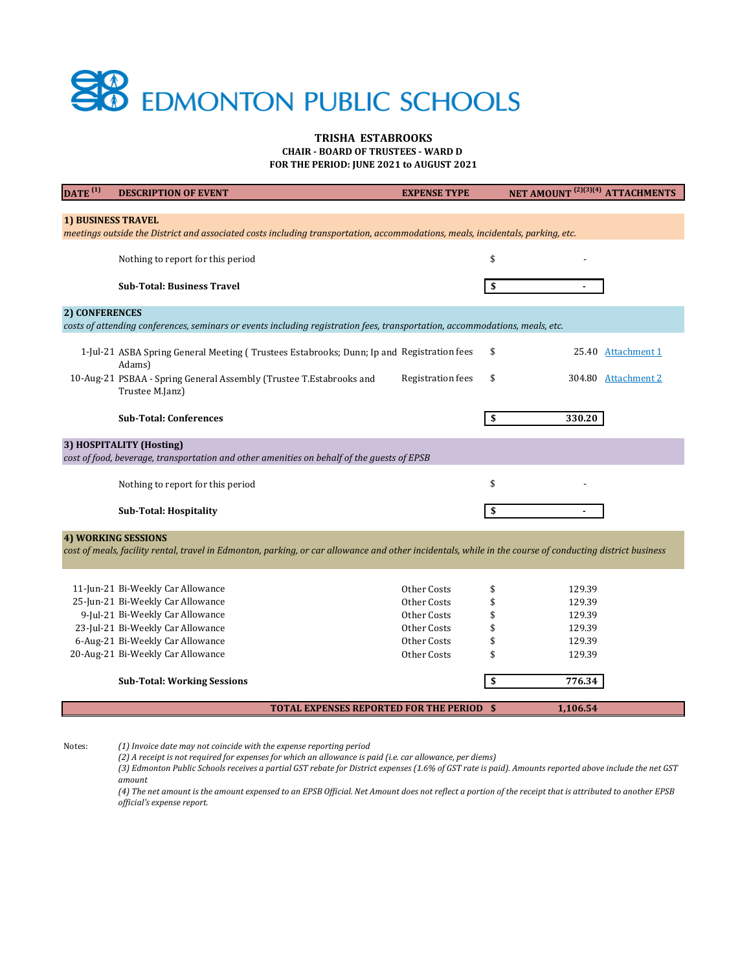| $\overline{\text{DATE}}^{(1)}$                                                                                                                                                         | <b>DESCRIPTION OF EVENT</b>                                                                                                    | <b>EXPENSE TYPE</b>      | NET AMOUNT <sup>(2)(3)(4)</sup> ATTACHMENTS |                     |  |  |
|----------------------------------------------------------------------------------------------------------------------------------------------------------------------------------------|--------------------------------------------------------------------------------------------------------------------------------|--------------------------|---------------------------------------------|---------------------|--|--|
|                                                                                                                                                                                        |                                                                                                                                |                          |                                             |                     |  |  |
| 1) BUSINESS TRAVEL                                                                                                                                                                     | meetings outside the District and associated costs including transportation, accommodations, meals, incidentals, parking, etc. |                          |                                             |                     |  |  |
|                                                                                                                                                                                        |                                                                                                                                |                          |                                             |                     |  |  |
|                                                                                                                                                                                        | Nothing to report for this period                                                                                              |                          | \$                                          |                     |  |  |
|                                                                                                                                                                                        |                                                                                                                                |                          |                                             |                     |  |  |
|                                                                                                                                                                                        | <b>Sub-Total: Business Travel</b>                                                                                              |                          | \$                                          |                     |  |  |
| 2) CONFERENCES                                                                                                                                                                         |                                                                                                                                |                          |                                             |                     |  |  |
|                                                                                                                                                                                        | costs of attending conferences, seminars or events including registration fees, transportation, accommodations, meals, etc.    |                          |                                             |                     |  |  |
|                                                                                                                                                                                        | 1-Jul-21 ASBA Spring General Meeting (Trustees Estabrooks; Dunn; Ip and Registration fees<br>Adams)                            |                          | \$                                          | 25.40 Attachment 1  |  |  |
|                                                                                                                                                                                        | 10-Aug-21 PSBAA - Spring General Assembly (Trustee T.Estabrooks and<br>Trustee M.Janz)                                         | <b>Registration fees</b> | \$                                          | 304.80 Attachment 2 |  |  |
|                                                                                                                                                                                        | <b>Sub-Total: Conferences</b>                                                                                                  |                          | 330.20                                      |                     |  |  |
| 3) HOSPITALITY (Hosting)                                                                                                                                                               |                                                                                                                                |                          |                                             |                     |  |  |
| cost of food, beverage, transportation and other amenities on behalf of the guests of EPSB                                                                                             |                                                                                                                                |                          |                                             |                     |  |  |
|                                                                                                                                                                                        | Nothing to report for this period                                                                                              |                          | \$                                          |                     |  |  |
|                                                                                                                                                                                        | <b>Sub-Total: Hospitality</b>                                                                                                  |                          | \$                                          |                     |  |  |
| <b>4) WORKING SESSIONS</b><br>cost of meals, facility rental, travel in Edmonton, parking, or car allowance and other incidentals, while in the course of conducting district business |                                                                                                                                |                          |                                             |                     |  |  |
|                                                                                                                                                                                        | 11-Jun-21 Bi-Weekly Car Allowance                                                                                              | Other Costs              | 129.39<br>\$                                |                     |  |  |
|                                                                                                                                                                                        | 25-Jun-21 Bi-Weekly Car Allowance                                                                                              | <b>Other Costs</b>       | \$<br>129.39                                |                     |  |  |
|                                                                                                                                                                                        | 9-Jul-21 Bi-Weekly Car Allowance                                                                                               | Other Costs              | 129.39                                      |                     |  |  |
|                                                                                                                                                                                        | 23-Jul-21 Bi-Weekly Car Allowance                                                                                              | Other Costs              | 129.39<br>\$                                |                     |  |  |
|                                                                                                                                                                                        | 6-Aug-21 Bi-Weekly Car Allowance                                                                                               | Other Costs              | \$<br>129.39                                |                     |  |  |
|                                                                                                                                                                                        | 20-Aug-21 Bi-Weekly Car Allowance                                                                                              | Other Costs              | \$<br>129.39                                |                     |  |  |
|                                                                                                                                                                                        | <b>Sub-Total: Working Sessions</b>                                                                                             |                          | 776.34<br>\$                                |                     |  |  |
|                                                                                                                                                                                        | <b>TOTAL EXPENSES REPORTED FOR THE PERIOD \$</b>                                                                               |                          | 1,106.54                                    |                     |  |  |



# **TRISHA ESTABROOKS**

Notes: *(1) Invoice date may not coincide with the expense reporting period*

**FOR THE PERIOD: JUNE 2021 to AUGUST 2021**

**CHAIR - BOARD OF TRUSTEES - WARD D** 

*(4) The net amount is the amount expensed to an EPSB Official. Net Amount does not reflect a portion of the receipt that is attributed to another EPSB official's expense report.* 

*(2) A receipt is not required for expenses for which an allowance is paid (i.e. car allowance, per diems)*

*(3) Edmonton Public Schools receives a partial GST rebate for District expenses (1.6% of GST rate is paid). Amounts reported above include the net GST amount*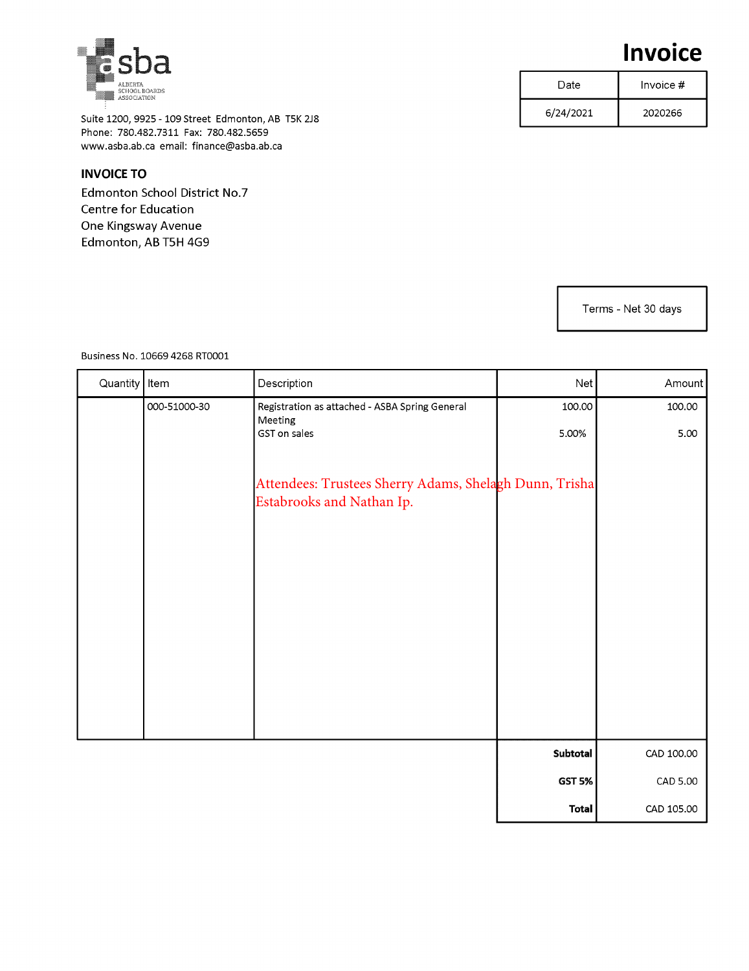Suite 1200, 9925 - 109 Street Edmonton, AB T5K 2J8 Phone: 780.482.7311 Fax: 780.482.5659 www.asba.ab.ca email: finance@asba.ab.ca

#### **INVOICE TO**

Edmonton School District No.7 Centre for Education One Kingsway Avenue Edmonton, AB T5H 4G9

| <b>Invoice</b> |  |
|----------------|--|
|----------------|--|

| Date      | Invoice $#$ |  |
|-----------|-------------|--|
| 6/24/2021 | 2020266     |  |

Terms - Net 30 days

Business No. 10669 4268 RT0001

| Quantity | Item         | Description                                                                         | Net             | Amount         |
|----------|--------------|-------------------------------------------------------------------------------------|-----------------|----------------|
|          | 000-51000-30 | Registration as attached - ASBA Spring General<br>Meeting<br>GST on sales           | 100.00<br>5.00% | 100.00<br>5.00 |
|          |              |                                                                                     |                 |                |
|          |              | Attendees: Trustees Sherry Adams, Shelagh Dunn, Trisha<br>Estabrooks and Nathan Ip. |                 |                |
|          |              |                                                                                     |                 |                |
|          |              |                                                                                     |                 |                |
|          |              |                                                                                     |                 |                |
|          |              |                                                                                     |                 |                |
|          |              |                                                                                     |                 |                |
|          |              |                                                                                     | Subtotal        | CAD 100.00     |
|          |              |                                                                                     | <b>GST 5%</b>   | CAD 5.00       |
|          |              |                                                                                     | <b>Total</b>    | CAD 105.00     |

<span id="page-1-0"></span>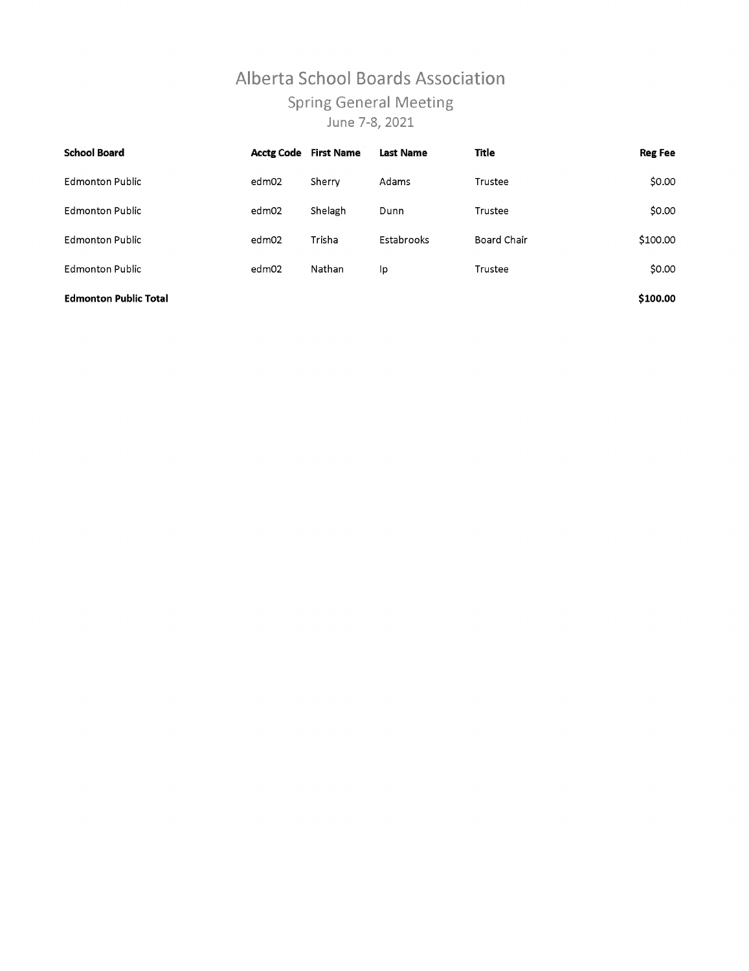# Alberta School Boards Association **Spring General Meeting** June 7-8, 2021

| <b>School Board</b>          | <b>Acctg Code</b> | <b>First Name</b> | <b>Last Name</b> | Title       | <b>Reg Fee</b> |
|------------------------------|-------------------|-------------------|------------------|-------------|----------------|
| <b>Edmonton Public</b>       | edm02             | Sherry            | Adams            | Trustee     | \$0.00         |
| <b>Edmonton Public</b>       | edm02             | Shelagh           | Dunn             | Trustee     | \$0.00         |
| <b>Edmonton Public</b>       | edm02             | Trisha            | Estabrooks       | Board Chair | \$100.00       |
| <b>Edmonton Public</b>       | edm02             | Nathan            | Ip               | Trustee     | \$0.00         |
| <b>Edmonton Public Total</b> |                   |                   |                  |             | \$100.00       |